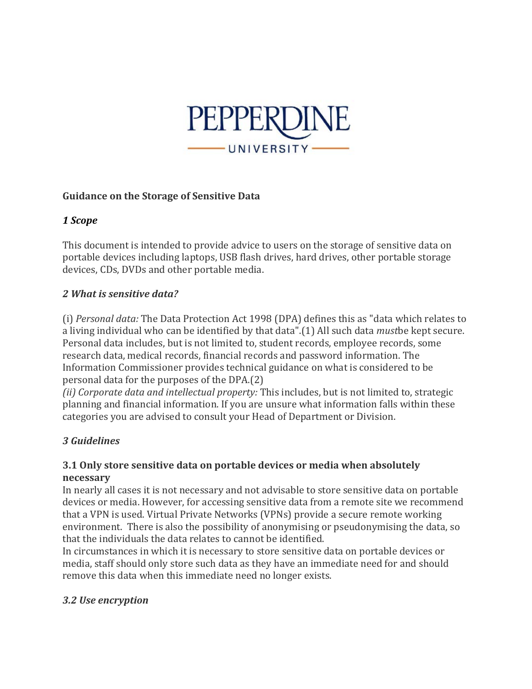

#### **Guidance on the Storage of Sensitive Data**

### *1 Scope*

This document is intended to provide advice to users on the storage of sensitive data on portable devices including laptops, USB flash drives, hard drives, other portable storage devices, CDs, DVDs and other portable media.

### *2 What is sensitive data?*

(i) *Personal data:* The Data Protection Act 1998 (DPA) defines this as "data which relates to a living individual who can be identified by that data".(1) All such data *must*be kept secure. Personal data includes, but is not limited to, student records, employee records, some research data, medical records, financial records and password information. The Information Commissioner provides technical guidance on what is considered to be personal data for the purposes of the DPA.(2)

*(ii) Corporate data and intellectual property:* This includes, but is not limited to, strategic planning and financial information. If you are unsure what information falls within these categories you are advised to consult your Head of Department or Division.

## *3 Guidelines*

### **3.1 Only store sensitive data on portable devices or media when absolutely necessary**

In nearly all cases it is not necessary and not advisable to store sensitive data on portable devices or media. However, for accessing sensitive data from a remote site we recommend that a VPN is used. Virtual Private Networks (VPNs) provide a secure remote working environment. There is also the possibility of anonymising or pseudonymising the data, so that the individuals the data relates to cannot be identified.

In circumstances in which it is necessary to store sensitive data on portable devices or media, staff should only store such data as they have an immediate need for and should remove this data when this immediate need no longer exists.

## *3.2 Use encryption*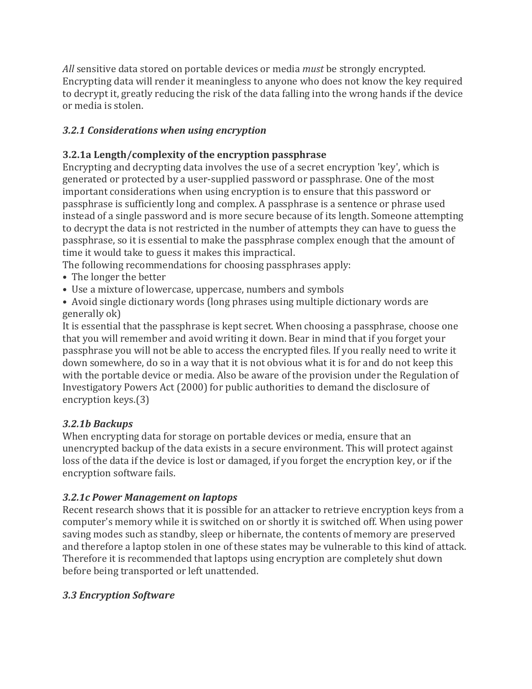*All* sensitive data stored on portable devices or media *must* be strongly encrypted. Encrypting data will render it meaningless to anyone who does not know the key required to decrypt it, greatly reducing the risk of the data falling into the wrong hands if the device or media is stolen.

# *3.2.1 Considerations when using encryption*

# **3.2.1a Length/complexity of the encryption passphrase**

Encrypting and decrypting data involves the use of a secret encryption 'key', which is generated or protected by a user-supplied password or passphrase. One of the most important considerations when using encryption is to ensure that this password or passphrase is sufficiently long and complex. A passphrase is a sentence or phrase used instead of a single password and is more secure because of its length. Someone attempting to decrypt the data is not restricted in the number of attempts they can have to guess the passphrase, so it is essential to make the passphrase complex enough that the amount of time it would take to guess it makes this impractical.

The following recommendations for choosing passphrases apply:

- The longer the better
- Use a mixture of lowercase, uppercase, numbers and symbols
- Avoid single dictionary words (long phrases using multiple dictionary words are generally ok)

It is essential that the passphrase is kept secret. When choosing a passphrase, choose one that you will remember and avoid writing it down. Bear in mind that if you forget your passphrase you will not be able to access the encrypted files. If you really need to write it down somewhere, do so in a way that it is not obvious what it is for and do not keep this with the portable device or media. Also be aware of the provision under the Regulation of Investigatory Powers Act (2000) for public authorities to demand the disclosure of encryption keys.(3)

## *3.2.1b Backups*

When encrypting data for storage on portable devices or media, ensure that an unencrypted backup of the data exists in a secure environment. This will protect against loss of the data if the device is lost or damaged, if you forget the encryption key, or if the encryption software fails.

# *3.2.1c Power Management on laptops*

Recent research shows that it is possible for an attacker to retrieve encryption keys from a computer's memory while it is switched on or shortly it is switched off. When using power saving modes such as standby, sleep or hibernate, the contents of memory are preserved and therefore a laptop stolen in one of these states may be vulnerable to this kind of attack. Therefore it is recommended that laptops using encryption are completely shut down before being transported or left unattended.

## *3.3 Encryption Software*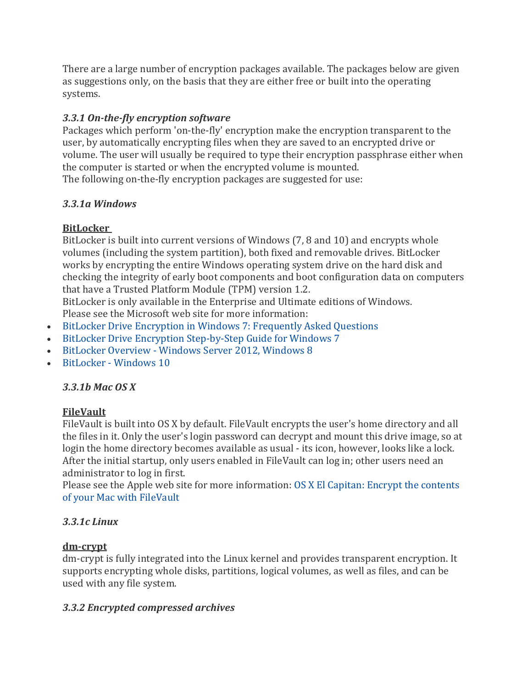There are a large number of encryption packages available. The packages below are given as suggestions only, on the basis that they are either free or built into the operating systems.

# *3.3.1 On-the-fly encryption software*

Packages which perform 'on-the-fly' encryption make the encryption transparent to the user, by automatically encrypting files when they are saved to an encrypted drive or volume. The user will usually be required to type their encryption passphrase either when the computer is started or when the encrypted volume is mounted. The following on-the-fly encryption packages are suggested for use:

## *3.3.1a Windows*

# **BitLocker**

BitLocker is built into current versions of Windows (7, 8 and 10) and encrypts whole volumes (including the system partition), both fixed and removable drives. BitLocker works by encrypting the entire Windows operating system drive on the hard disk and checking the integrity of early boot components and boot configuration data on computers that have a Trusted Platform Module (TPM) version 1.2.

BitLocker is only available in the Enterprise and Ultimate editions of Windows. Please see the Microsoft web site for more information:

- [BitLocker Drive Encryption in Windows 7: Frequently Asked Questions](https://technet.microsoft.com/en-us/library/ee449438(v=ws.10).aspx)
- [BitLocker Drive Encryption Step-by-Step Guide for Windows 7](https://technet.microsoft.com/en-us/library/dd835565(v=ws.10).aspx)
- BitLocker Overview [Windows Server 2012, Windows 8](https://technet.microsoft.com/en-us/library/hh831713(d=lightweight,v=ws.11))
- BitLocker [Windows 10](https://technet.microsoft.com/en-us/itpro/windows/keep-secure/bitlocker-overview)

# *3.3.1b Mac OS X*

# **FileVault**

FileVault is built into OS X by default. FileVault encrypts the user's home directory and all the files in it. Only the user's login password can decrypt and mount this drive image, so at login the home directory becomes available as usual - its icon, however, looks like a lock. After the initial startup, only users enabled in FileVault can log in; other users need an administrator to log in first.

Please see the Apple web site for more information: [OS X El Capitan: Encrypt the contents](https://support.apple.com/kb/PH21750?locale=en_US&viewlocale=en_US)  [of your Mac with FileVault](https://support.apple.com/kb/PH21750?locale=en_US&viewlocale=en_US)

# *3.3.1c Linux*

# **dm-crypt**

dm-crypt is fully integrated into the Linux kernel and provides transparent encryption. It supports encrypting whole disks, partitions, logical volumes, as well as files, and can be used with any file system.

# *3.3.2 Encrypted compressed archives*